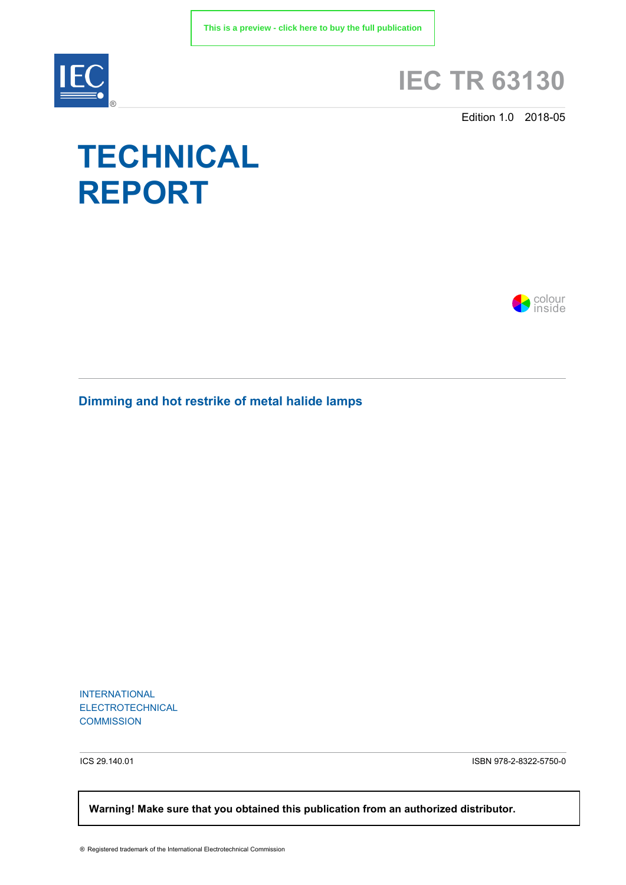

# **IEC TR 63130**

Edition 1.0 2018-05

# **TECHNICAL REPORT**



**Dimming and hot restrike of metal halide lamps**

INTERNATIONAL ELECTROTECHNICAL **COMMISSION** 

ICS 29.140.01 ISBN 978-2-8322-5750-0

 **Warning! Make sure that you obtained this publication from an authorized distributor.**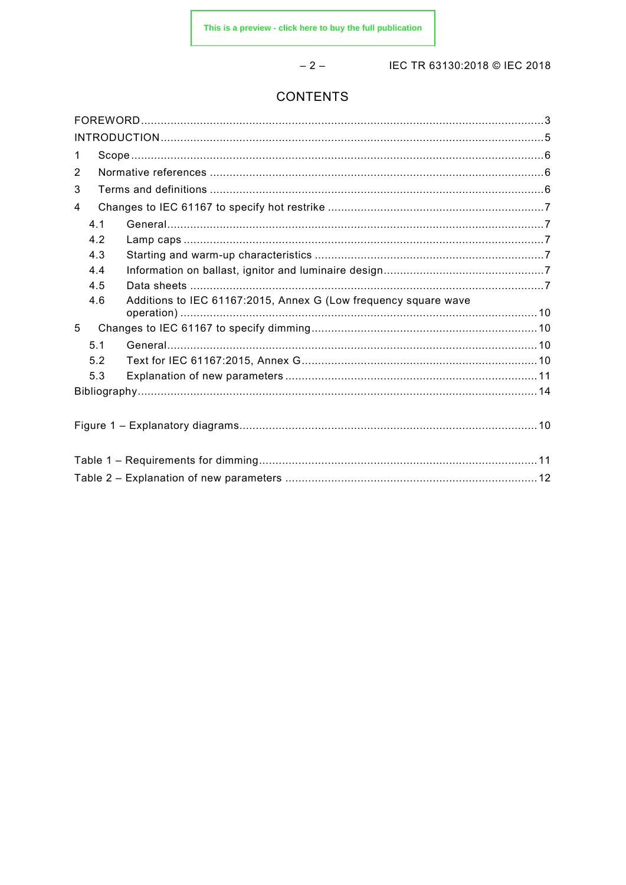$-2-$ 

IEC TR 63130:2018 © IEC 2018

## **CONTENTS**

| $\mathbf 1$                                                            |  |
|------------------------------------------------------------------------|--|
| 2                                                                      |  |
| 3                                                                      |  |
| 4                                                                      |  |
| 4.1                                                                    |  |
| 4.2                                                                    |  |
| 4.3                                                                    |  |
| 4.4                                                                    |  |
| 4.5                                                                    |  |
| Additions to IEC 61167:2015, Annex G (Low frequency square wave<br>4.6 |  |
| 5                                                                      |  |
| 5.1                                                                    |  |
| 5.2                                                                    |  |
| 5.3                                                                    |  |
|                                                                        |  |
|                                                                        |  |
|                                                                        |  |
|                                                                        |  |
|                                                                        |  |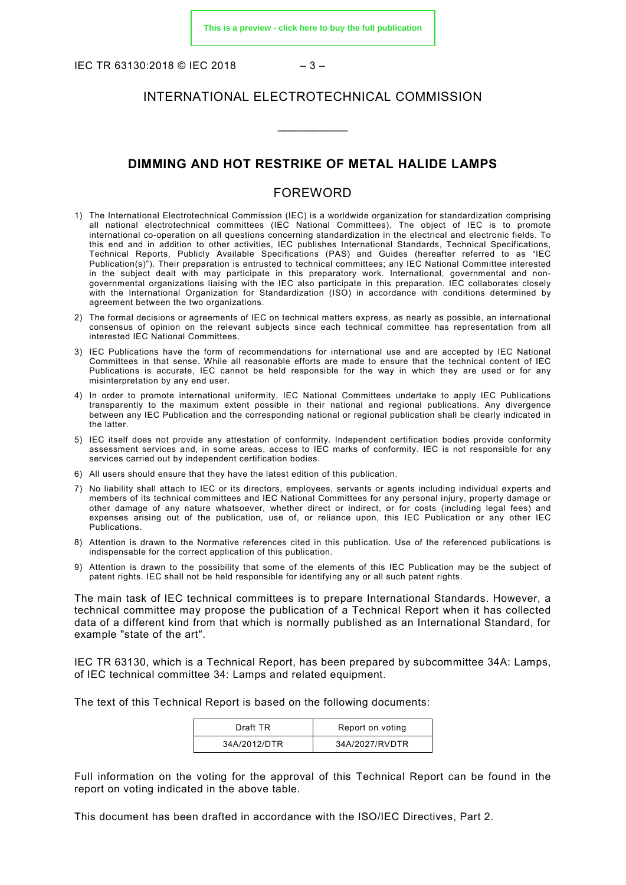IEC TR 63130:2018 © IEC 2018 – 3 –

#### INTERNATIONAL ELECTROTECHNICAL COMMISSION

\_\_\_\_\_\_\_\_\_\_\_\_

#### **DIMMING AND HOT RESTRIKE OF METAL HALIDE LAMPS**

#### FOREWORD

- <span id="page-2-0"></span>1) The International Electrotechnical Commission (IEC) is a worldwide organization for standardization comprising all national electrotechnical committees (IEC National Committees). The object of IEC is to promote international co-operation on all questions concerning standardization in the electrical and electronic fields. To this end and in addition to other activities, IEC publishes International Standards, Technical Specifications, Technical Reports, Publicly Available Specifications (PAS) and Guides (hereafter referred to as "IEC Publication(s)"). Their preparation is entrusted to technical committees; any IEC National Committee interested in the subject dealt with may participate in this preparatory work. International, governmental and nongovernmental organizations liaising with the IEC also participate in this preparation. IEC collaborates closely with the International Organization for Standardization (ISO) in accordance with conditions determined by agreement between the two organizations.
- 2) The formal decisions or agreements of IEC on technical matters express, as nearly as possible, an international consensus of opinion on the relevant subjects since each technical committee has representation from all interested IEC National Committees.
- 3) IEC Publications have the form of recommendations for international use and are accepted by IEC National Committees in that sense. While all reasonable efforts are made to ensure that the technical content of IEC Publications is accurate, IEC cannot be held responsible for the way in which they are used or for any misinterpretation by any end user.
- 4) In order to promote international uniformity, IEC National Committees undertake to apply IEC Publications transparently to the maximum extent possible in their national and regional publications. Any divergence between any IEC Publication and the corresponding national or regional publication shall be clearly indicated in the latter.
- 5) IEC itself does not provide any attestation of conformity. Independent certification bodies provide conformity assessment services and, in some areas, access to IEC marks of conformity. IEC is not responsible for any services carried out by independent certification bodies.
- 6) All users should ensure that they have the latest edition of this publication.
- 7) No liability shall attach to IEC or its directors, employees, servants or agents including individual experts and members of its technical committees and IEC National Committees for any personal injury, property damage or other damage of any nature whatsoever, whether direct or indirect, or for costs (including legal fees) and expenses arising out of the publication, use of, or reliance upon, this IEC Publication or any other IEC Publications.
- 8) Attention is drawn to the Normative references cited in this publication. Use of the referenced publications is indispensable for the correct application of this publication.
- 9) Attention is drawn to the possibility that some of the elements of this IEC Publication may be the subject of patent rights. IEC shall not be held responsible for identifying any or all such patent rights.

The main task of IEC technical committees is to prepare International Standards. However, a technical committee may propose the publication of a Technical Report when it has collected data of a different kind from that which is normally published as an International Standard, for example "state of the art".

IEC TR 63130, which is a Technical Report, has been prepared by subcommittee 34A: Lamps, of IEC technical committee 34: Lamps and related equipment.

The text of this Technical Report is based on the following documents:

| Draft TR     | Report on voting |
|--------------|------------------|
| 34A/2012/DTR | 34A/2027/RVDTR   |

Full information on the voting for the approval of this Technical Report can be found in the report on voting indicated in the above table.

This document has been drafted in accordance with the ISO/IEC Directives, Part 2.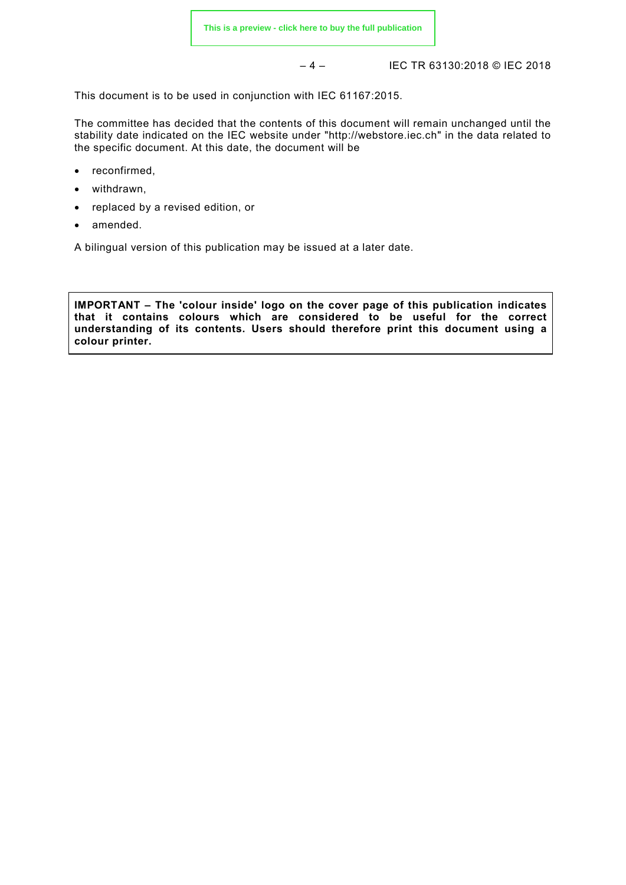– 4 – IEC TR 63130:2018 © IEC 2018

This document is to be used in conjunction with IEC 61167:2015.

The committee has decided that the contents of this document will remain unchanged until the stability date indicated on the IEC website under ["http://webstore.iec.ch"](http://webstore.iec.ch/) in the data related to the specific document. At this date, the document will be

- reconfirmed,
- withdrawn,
- replaced by a revised edition, or
- amended.

A bilingual version of this publication may be issued at a later date.

<span id="page-3-0"></span>**IMPORTANT – The 'colour inside' logo on the cover page of this publication indicates that it contains colours which are considered to be useful for the correct understanding of its contents. Users should therefore print this document using a colour printer.**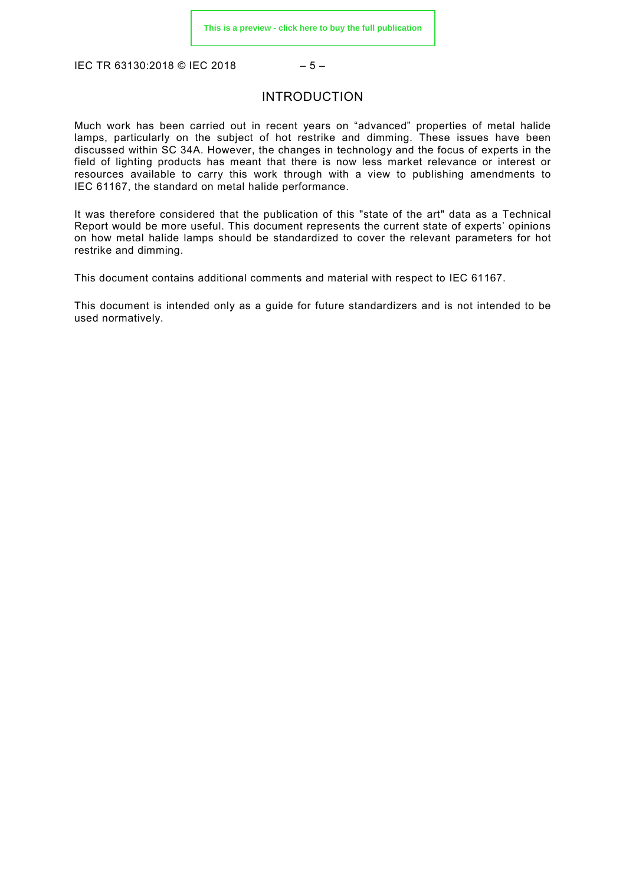IEC TR 63130:2018 © IEC 2018 – 5 –

#### INTRODUCTION

Much work has been carried out in recent years on "advanced" properties of metal halide lamps, particularly on the subject of hot restrike and dimming. These issues have been discussed within SC 34A. However, the changes in technology and the focus of experts in the field of lighting products has meant that there is now less market relevance or interest or resources available to carry this work through with a view to publishing amendments to IEC 61167, the standard on metal halide performance.

It was therefore considered that the publication of this "state of the art" data as a Technical Report would be more useful. This document represents the current state of experts' opinions on how metal halide lamps should be standardized to cover the relevant parameters for hot restrike and dimming.

This document contains additional comments and material with respect to IEC 61167.

This document is intended only as a guide for future standardizers and is not intended to be used normatively.